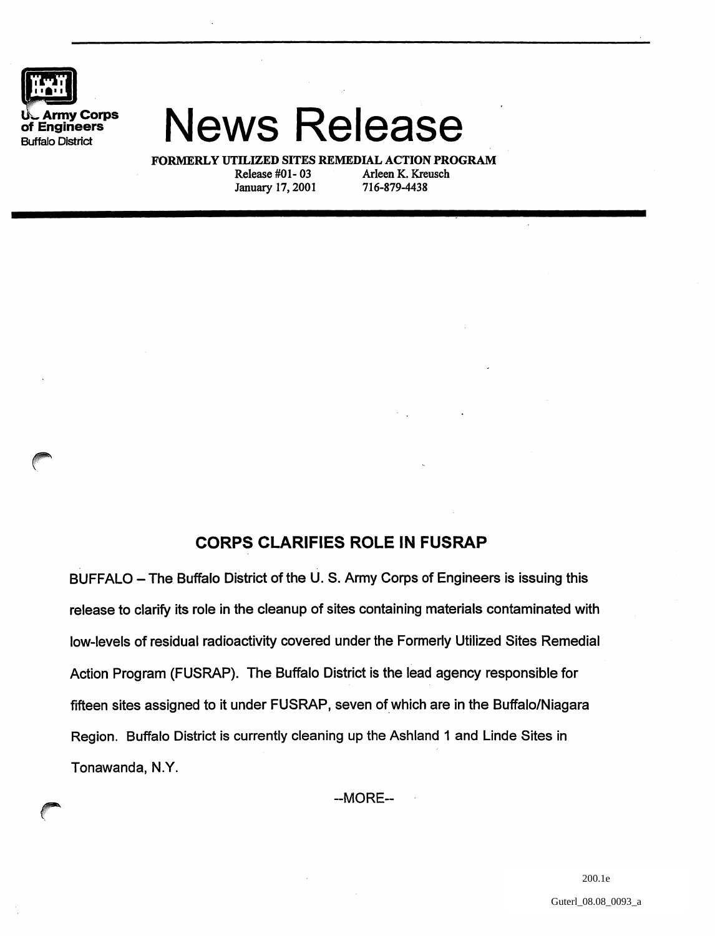

## **UL Army Corps News Release**

FORMERLY UTILIZED SITES REMEDIAL ACTION PROGRAM<br>Release #01-03 Arleen K. Kreusch Arleen K. Kreusch<br>716-879-4438 January 17, 2001

## **CORPS CLARIFIES ROLE IN FUSRAP**

. .

BUFFALO - The Buffalo District of the U.S. Army Corps of Engineers is issuing this release to clarify its role in the cleanup of sites containing materials contaminated with low-levels of residual radioactivity covered under the Formerly Utilized Sites Remedial Action Program (FUSRAP). The Buffalo District is the lead agency responsible for fifteen sites assigned to it under FUSRAP, seven of which are in the Buffalo/Niagara Region. Buffalo District is currently cleaning up the Ashland 1 and Linde Sites in Tonawanda, N.Y.

--MORE--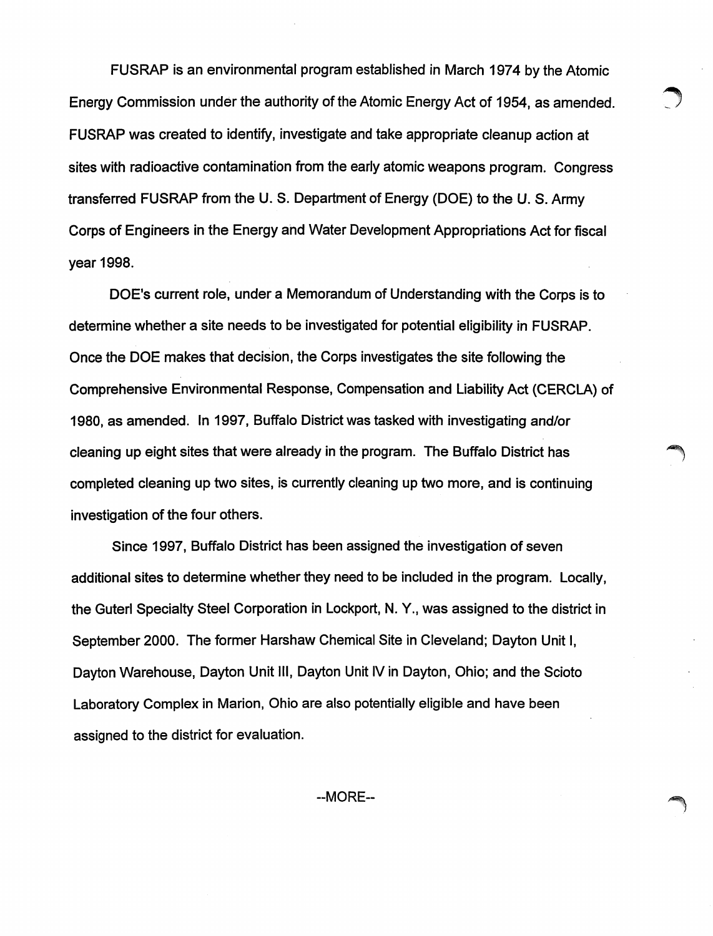FUSRAP is an environmental program established in March 1974 by the Atomic Energy Commission under the authority of the Atomic Energy Act of 1954, as amended. ~ FUSRAP was created to identify, investigate and take appropriate cleanup action at sites with radioactive contamination from the early atomic weapons program. Congress transferred FUSRAP from the U. S. Department of Energy (DOE) to the U. S. Army Corps of Engineers in the Energy ahd Water Development Appropriations Act for fiscal year 1998.

DOE's current role, under a Memorandum of Understanding with the Corps is to determine whether a site needs to be investigated for potential eligibility in FUSRAP. Once the DOE makes that decision, the Corps investigates the site following the Comprehensive Environmental Response, Compensation and Liability Act (CERCLA) of 1980, as amended. In 1997, Buffalo District was tasked with investigating and/or cleaning up eight sites that were already in the program. The Buffalo District has completed cleaning up two sites, is currently cleaning up two more, and is continuing investigation of the four others.

Since 1997, Buffalo District has been assigned the investigation of seven additional sites to determine whether they need to be included in the program. Locally, the Guterl Specialty Steel Corporation in Lockport, N. Y., was assigned to the district in September 2000. The former Harshaw Chemical Site in Cleveland; Dayton Unit I, Dayton Warehouse, Dayton Unit III, Dayton Unit IV in Dayton, Ohio; and the Scioto Laboratory Complex in Marion, Ohio are also potentially eligible and have been assigned to the district for evaluation.

--MORE--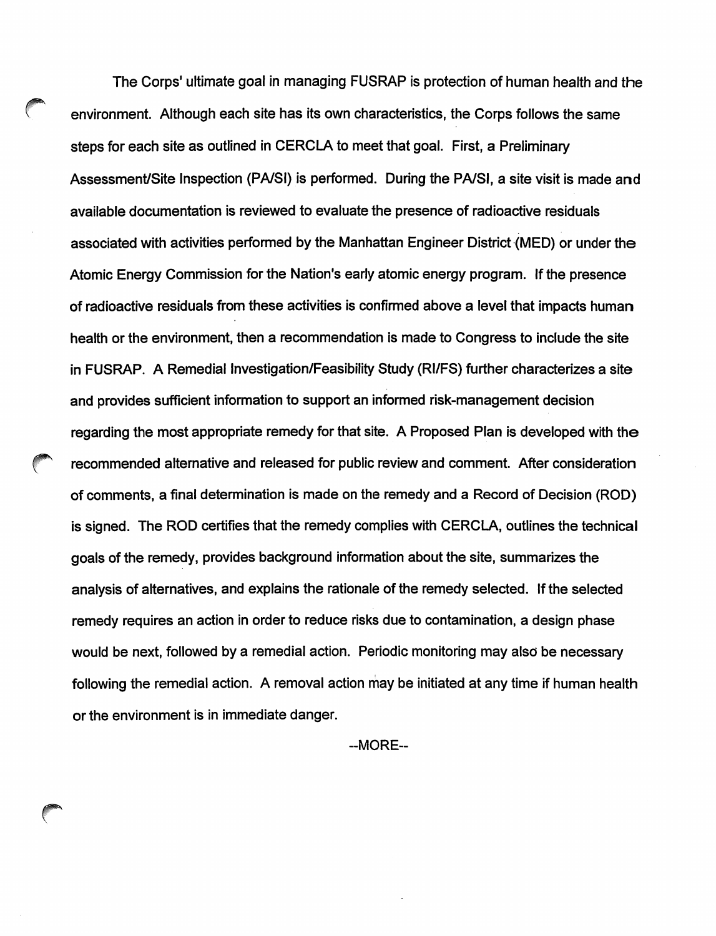The Corps' ultimate goal in managing FUSRAP is protection of human health and the environment. Although each site has its own characteristics, the Corps follows the same steps for each site as outlined in CERCLA to meet that goal. First, a Preliminary Assessment/Site Inspection (PA/SI) is performed. During the PA/SI, a site visit is made and available documentation is reviewed to evaluate the presence of radioactive residuals associated with activities performed by the Manhattan Engineer District (MED) or under the Atomic Energy Commission for the Nation's early atomic energy program. If the presence of radioactive residuals from these activities is confirmed above a level that impacts human health or the environment, then a recommendation is made to Congress to include the site in FUSRAP. A Remedial Investigation/Feasibility Study (RI/FS) further characterizes a site and provides sufficient information to support an informed risk-management decision regarding the most appropriate remedy for that site. A Proposed Plan is developed with the recommended alternative and released for public review and comment. After consideration of comments, a final determination is made on the remedy and a Record of Decision (ROD) is signed. The ROD certifies that the remedy complies with CERCLA, outlines the technical goals of the remedy, provides background information about the site, summarizes the analysis of alternatives, and explains the rationale of the remedy selected. If the selected remedy requires an action in order to reduce risks due to contamination, a design phase would be next, followed by a remedial action. Periodic monitoring may also be necessary following the remedial action. A removal action may be initiated at any time if human health or the environment is in immediate danger.

--MORE--

 $\subset$